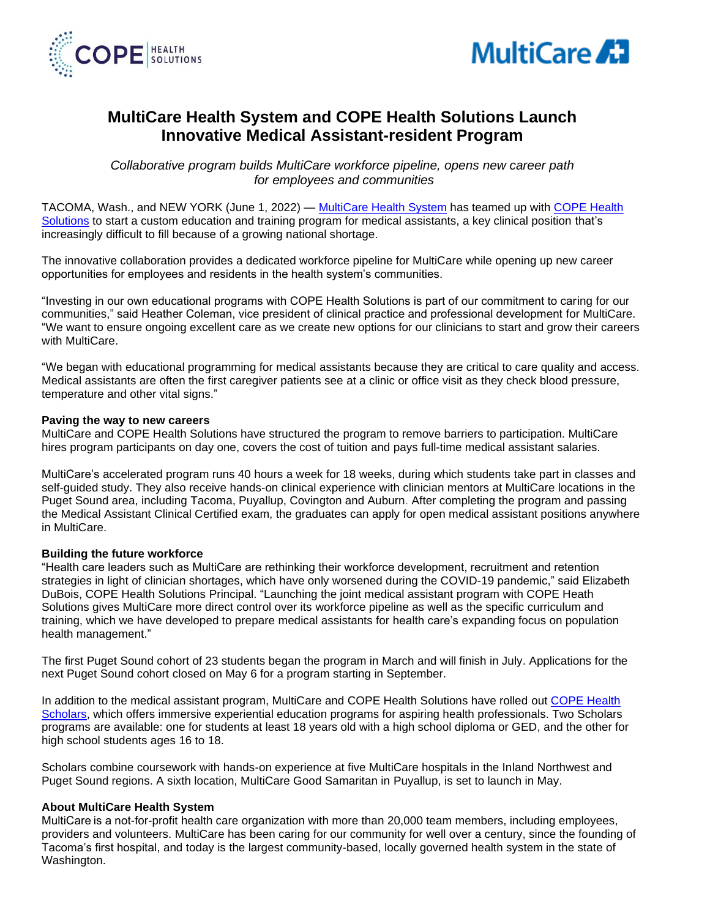



# **MultiCare Health System and COPE Health Solutions Launch Innovative Medical Assistant-resident Program**

*Collaborative program builds MultiCare workforce pipeline, opens new career path for employees and communities*

TACOMA, Wash., and NEW YORK (June 1, 2022) — [MultiCare Health System](https://www.multicare.org/) has teamed up with COPE Health [Solutions](https://copehealthsolutions.com/) to start a custom education and training program for medical assistants, a key clinical position that's increasingly difficult to fill because of a growing national shortage.

The innovative collaboration provides a dedicated workforce pipeline for MultiCare while opening up new career opportunities for employees and residents in the health system's communities.

"Investing in our own educational programs with COPE Health Solutions is part of our commitment to caring for our communities," said Heather Coleman, vice president of clinical practice and professional development for MultiCare. "We want to ensure ongoing excellent care as we create new options for our clinicians to start and grow their careers with MultiCare.

"We began with educational programming for medical assistants because they are critical to care quality and access. Medical assistants are often the first caregiver patients see at a clinic or office visit as they check blood pressure, temperature and other vital signs."

#### **Paving the way to new careers**

MultiCare and COPE Health Solutions have structured the program to remove barriers to participation. MultiCare hires program participants on day one, covers the cost of tuition and pays full-time medical assistant salaries.

MultiCare's accelerated program runs 40 hours a week for 18 weeks, during which students take part in classes and self-guided study. They also receive hands-on clinical experience with clinician mentors at MultiCare locations in the Puget Sound area, including Tacoma, Puyallup, Covington and Auburn. After completing the program and passing the Medical Assistant Clinical Certified exam, the graduates can apply for open medical assistant positions anywhere in MultiCare.

#### **Building the future workforce**

"Health care leaders such as MultiCare are rethinking their workforce development, recruitment and retention strategies in light of clinician shortages, which have only worsened during the COVID-19 pandemic," said Elizabeth DuBois, COPE Health Solutions Principal. "Launching the joint medical assistant program with COPE Heath Solutions gives MultiCare more direct control over its workforce pipeline as well as the specific curriculum and training, which we have developed to prepare medical assistants for health care's expanding focus on population health management."

The first Puget Sound cohort of 23 students began the program in March and will finish in July. Applications for the next Puget Sound cohort closed on May 6 for a program starting in September.

In addition to the medical assistant program, MultiCare and COPE Health Solutions have rolled out [COPE Health](https://jobs.multicare.org/students-grads/cope-health-scholars/)  [Scholars,](https://jobs.multicare.org/students-grads/cope-health-scholars/) which offers immersive experiential education programs for aspiring health professionals. Two Scholars programs are available: one for students at least 18 years old with a high school diploma or GED, and the other for high school students ages 16 to 18.

Scholars combine coursework with hands-on experience at five MultiCare hospitals in the Inland Northwest and Puget Sound regions. A sixth location, MultiCare Good Samaritan in Puyallup, is set to launch in May.

#### **About MultiCare Health System**

MultiCare is a not-for-profit health care organization with more than 20,000 team members, including employees, providers and volunteers. MultiCare has been caring for our community for well over a century, since the founding of Tacoma's first hospital, and today is the largest community-based, locally governed health system in the state of Washington.